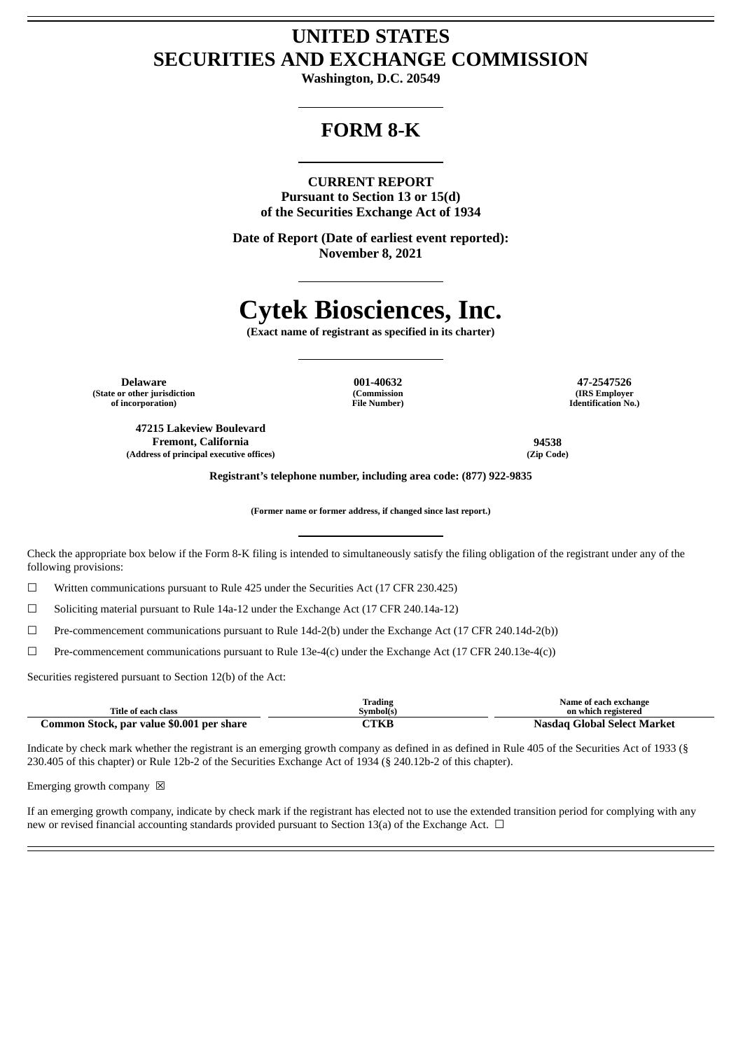## **UNITED STATES SECURITIES AND EXCHANGE COMMISSION**

**Washington, D.C. 20549**

## **FORM 8-K**

#### **CURRENT REPORT**

**Pursuant to Section 13 or 15(d) of the Securities Exchange Act of 1934**

**Date of Report (Date of earliest event reported): November 8, 2021**

# **Cytek Biosciences, Inc.**

**(Exact name of registrant as specified in its charter)**

**Delaware 001-40632 47-2547526 (State or other jurisdiction of incorporation)**

**(Commission File Number)**

**(IRS Employer Identification No.)**

**47215 Lakeview Boulevard Fremont, California 94538 (Address of principal executive offices) (Zip Code)**

**Registrant's telephone number, including area code: (877) 922-9835**

**(Former name or former address, if changed since last report.)**

Check the appropriate box below if the Form 8-K filing is intended to simultaneously satisfy the filing obligation of the registrant under any of the following provisions:

 $\Box$  Written communications pursuant to Rule 425 under the Securities Act (17 CFR 230.425)

 $\Box$  Soliciting material pursuant to Rule 14a-12 under the Exchange Act (17 CFR 240.14a-12)

☐ Pre-commencement communications pursuant to Rule 14d-2(b) under the Exchange Act (17 CFR 240.14d-2(b))

 $\Box$  Pre-commencement communications pursuant to Rule 13e-4(c) under the Exchange Act (17 CFR 240.13e-4(c))

Securities registered pursuant to Section 12(b) of the Act:

|                                           | Trading    | Name of each exchange       |
|-------------------------------------------|------------|-----------------------------|
| Title of each class                       | Svmbol(s)  | on which registered         |
| Common Stock, par value \$0.001 per share | <b>TKB</b> | Nasdag Global Select Market |

Indicate by check mark whether the registrant is an emerging growth company as defined in as defined in Rule 405 of the Securities Act of 1933 (§ 230.405 of this chapter) or Rule 12b-2 of the Securities Exchange Act of 1934 (§ 240.12b-2 of this chapter).

Emerging growth company  $\boxtimes$ 

If an emerging growth company, indicate by check mark if the registrant has elected not to use the extended transition period for complying with any new or revised financial accounting standards provided pursuant to Section 13(a) of the Exchange Act.  $\Box$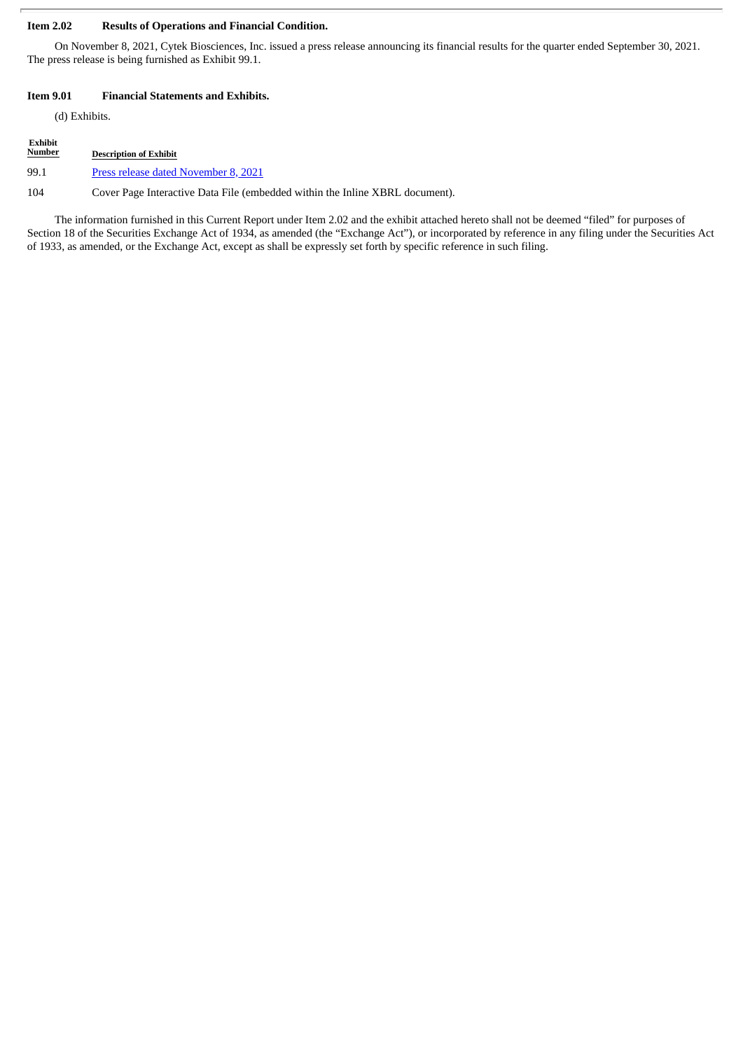### **Item 2.02 Results of Operations and Financial Condition.**

On November 8, 2021, Cytek Biosciences, Inc. issued a press release announcing its financial results for the quarter ended September 30, 2021. The press release is being furnished as Exhibit 99.1.

#### **Item 9.01 Financial Statements and Exhibits.**

(d) Exhibits.

| Exhibit<br>Number    | <b>Description of Exhibit</b>        |
|----------------------|--------------------------------------|
| 99.1                 | Press release dated November 8, 2021 |
| $\sim$ $\sim$ $\sim$ | . . <del>.</del>                     |

104 Cover Page Interactive Data File (embedded within the Inline XBRL document).

The information furnished in this Current Report under Item 2.02 and the exhibit attached hereto shall not be deemed "filed" for purposes of Section 18 of the Securities Exchange Act of 1934, as amended (the "Exchange Act"), or incorporated by reference in any filing under the Securities Act of 1933, as amended, or the Exchange Act, except as shall be expressly set forth by specific reference in such filing.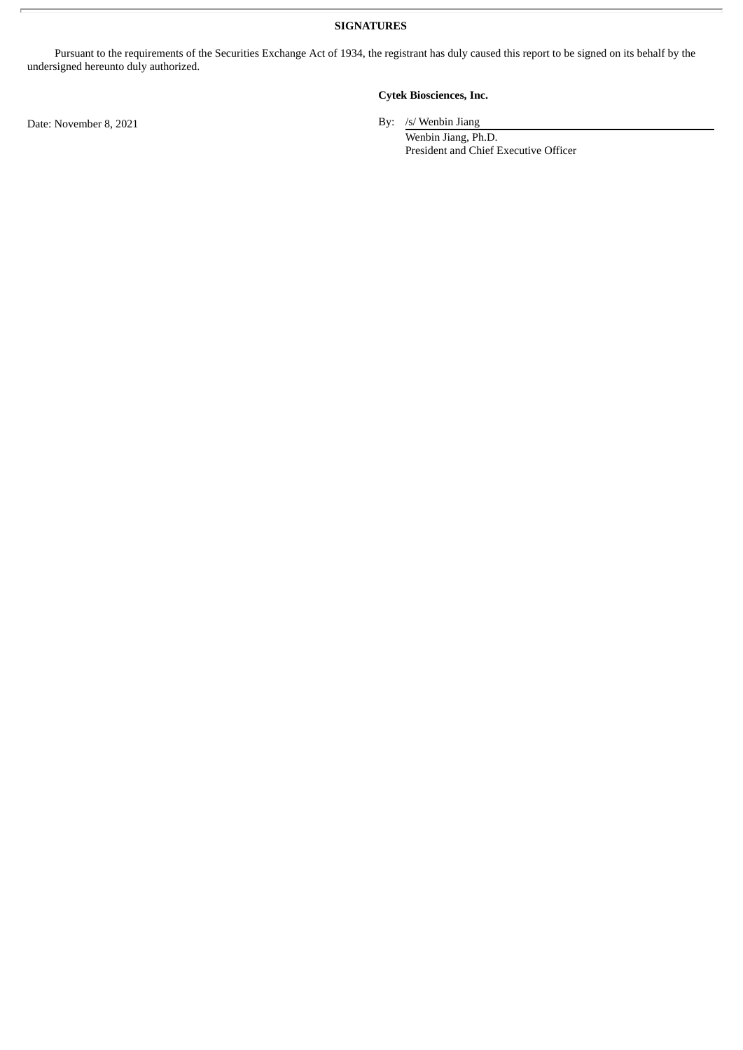**SIGNATURES**

Pursuant to the requirements of the Securities Exchange Act of 1934, the registrant has duly caused this report to be signed on its behalf by the undersigned hereunto duly authorized.

**Cytek Biosciences, Inc.**

Wenbin Jiang, Ph.D. President and Chief Executive Officer

Date: November 8, 2021 By: /s/ Wenbin Jiang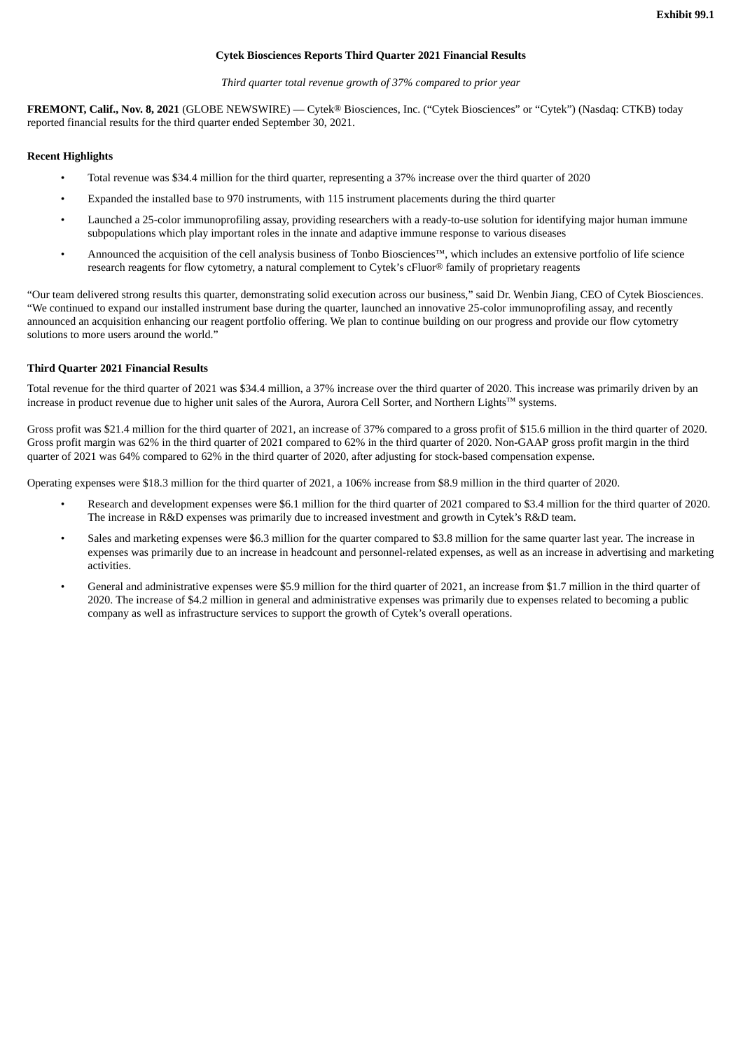#### **Cytek Biosciences Reports Third Quarter 2021 Financial Results**

#### *Third quarter total revenue growth of 37% compared to prior year*

<span id="page-3-0"></span>**FREMONT, Calif., Nov. 8, 2021** (GLOBE NEWSWIRE) — Cytek® Biosciences, Inc. ("Cytek Biosciences" or "Cytek") (Nasdaq: CTKB) today reported financial results for the third quarter ended September 30, 2021.

#### **Recent Highlights**

- Total revenue was \$34.4 million for the third quarter, representing a 37% increase over the third quarter of 2020
- Expanded the installed base to 970 instruments, with 115 instrument placements during the third quarter
- Launched a 25-color immunoprofiling assay, providing researchers with a ready-to-use solution for identifying major human immune subpopulations which play important roles in the innate and adaptive immune response to various diseases
- Announced the acquisition of the cell analysis business of Tonbo Biosciences™, which includes an extensive portfolio of life science research reagents for flow cytometry, a natural complement to Cytek's cFluor® family of proprietary reagents

"Our team delivered strong results this quarter, demonstrating solid execution across our business," said Dr. Wenbin Jiang, CEO of Cytek Biosciences. "We continued to expand our installed instrument base during the quarter, launched an innovative 25-color immunoprofiling assay, and recently announced an acquisition enhancing our reagent portfolio offering. We plan to continue building on our progress and provide our flow cytometry solutions to more users around the world."

#### **Third Quarter 2021 Financial Results**

Total revenue for the third quarter of 2021 was \$34.4 million, a 37% increase over the third quarter of 2020. This increase was primarily driven by an increase in product revenue due to higher unit sales of the Aurora, Aurora Cell Sorter, and Northern Lights™ systems.

Gross profit was \$21.4 million for the third quarter of 2021, an increase of 37% compared to a gross profit of \$15.6 million in the third quarter of 2020. Gross profit margin was 62% in the third quarter of 2021 compared to 62% in the third quarter of 2020. Non-GAAP gross profit margin in the third quarter of 2021 was 64% compared to 62% in the third quarter of 2020, after adjusting for stock-based compensation expense.

Operating expenses were \$18.3 million for the third quarter of 2021, a 106% increase from \$8.9 million in the third quarter of 2020.

- Research and development expenses were \$6.1 million for the third quarter of 2021 compared to \$3.4 million for the third quarter of 2020. The increase in R&D expenses was primarily due to increased investment and growth in Cytek's R&D team.
- Sales and marketing expenses were \$6.3 million for the quarter compared to \$3.8 million for the same quarter last year. The increase in expenses was primarily due to an increase in headcount and personnel-related expenses, as well as an increase in advertising and marketing activities.
- General and administrative expenses were \$5.9 million for the third quarter of 2021, an increase from \$1.7 million in the third quarter of 2020. The increase of \$4.2 million in general and administrative expenses was primarily due to expenses related to becoming a public company as well as infrastructure services to support the growth of Cytek's overall operations.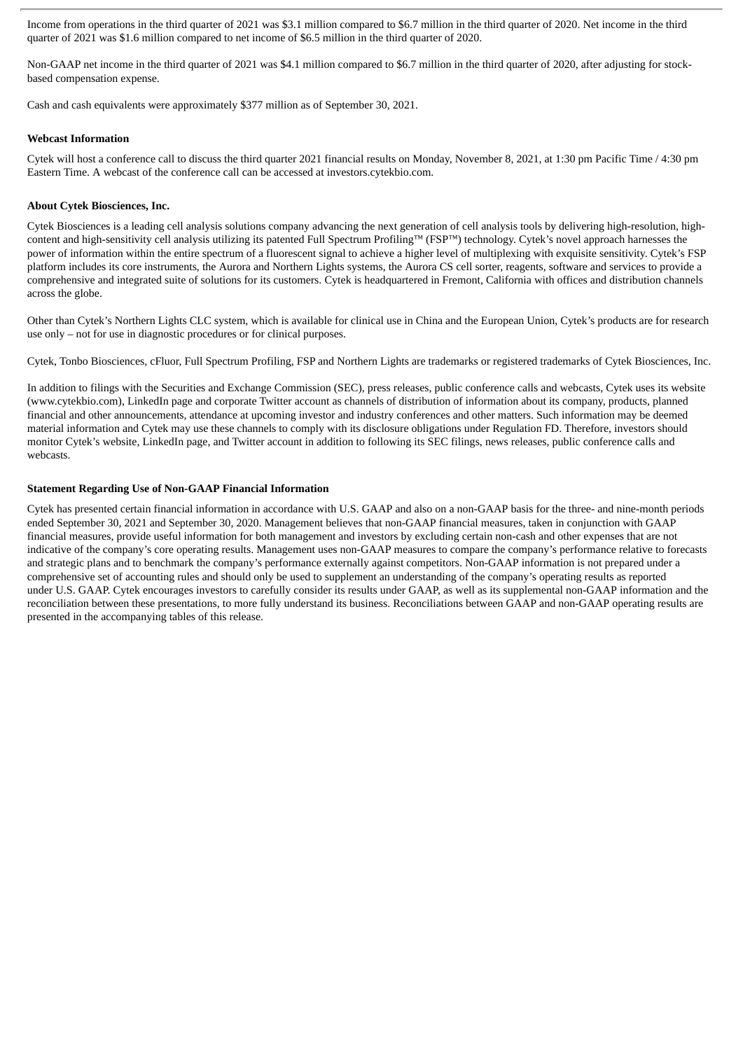Income from operations in the third quarter of 2021 was \$3.1 million compared to \$6.7 million in the third quarter of 2020. Net income in the third quarter of 2021 was \$1.6 million compared to net income of \$6.5 million in the third quarter of 2020.

Non-GAAP net income in the third quarter of 2021 was \$4.1 million compared to \$6.7 million in the third quarter of 2020, after adjusting for stockbased compensation expense.

Cash and cash equivalents were approximately \$377 million as of September 30, 2021.

#### **Webcast Information**

Cytek will host a conference call to discuss the third quarter 2021 financial results on Monday, November 8, 2021, at 1:30 pm Pacific Time / 4:30 pm Eastern Time. A webcast of the conference call can be accessed at investors.cytekbio.com.

#### **About Cytek Biosciences, Inc.**

Cytek Biosciences is a leading cell analysis solutions company advancing the next generation of cell analysis tools by delivering high-resolution, highcontent and high-sensitivity cell analysis utilizing its patented Full Spectrum Profiling™ (FSP™) technology. Cytek's novel approach harnesses the power of information within the entire spectrum of a fluorescent signal to achieve a higher level of multiplexing with exquisite sensitivity. Cytek's FSP platform includes its core instruments, the Aurora and Northern Lights systems, the Aurora CS cell sorter, reagents, software and services to provide a comprehensive and integrated suite of solutions for its customers. Cytek is headquartered in Fremont, California with offices and distribution channels across the globe.

Other than Cytek's Northern Lights CLC system, which is available for clinical use in China and the European Union, Cytek's products are for research use only – not for use in diagnostic procedures or for clinical purposes.

Cytek, Tonbo Biosciences, cFluor, Full Spectrum Profiling, FSP and Northern Lights are trademarks or registered trademarks of Cytek Biosciences, Inc.

In addition to filings with the Securities and Exchange Commission (SEC), press releases, public conference calls and webcasts, Cytek uses its website (www.cytekbio.com), LinkedIn page and corporate Twitter account as channels of distribution of information about its company, products, planned financial and other announcements, attendance at upcoming investor and industry conferences and other matters. Such information may be deemed material information and Cytek may use these channels to comply with its disclosure obligations under Regulation FD. Therefore, investors should monitor Cytek's website, LinkedIn page, and Twitter account in addition to following its SEC filings, news releases, public conference calls and webcasts.

#### **Statement Regarding Use of Non-GAAP Financial Information**

Cytek has presented certain financial information in accordance with U.S. GAAP and also on a non-GAAP basis for the three- and nine-month periods ended September 30, 2021 and September 30, 2020. Management believes that non-GAAP financial measures, taken in conjunction with GAAP financial measures, provide useful information for both management and investors by excluding certain non-cash and other expenses that are not indicative of the company's core operating results. Management uses non-GAAP measures to compare the company's performance relative to forecasts and strategic plans and to benchmark the company's performance externally against competitors. Non-GAAP information is not prepared under a comprehensive set of accounting rules and should only be used to supplement an understanding of the company's operating results as reported under U.S. GAAP. Cytek encourages investors to carefully consider its results under GAAP, as well as its supplemental non-GAAP information and the reconciliation between these presentations, to more fully understand its business. Reconciliations between GAAP and non-GAAP operating results are presented in the accompanying tables of this release.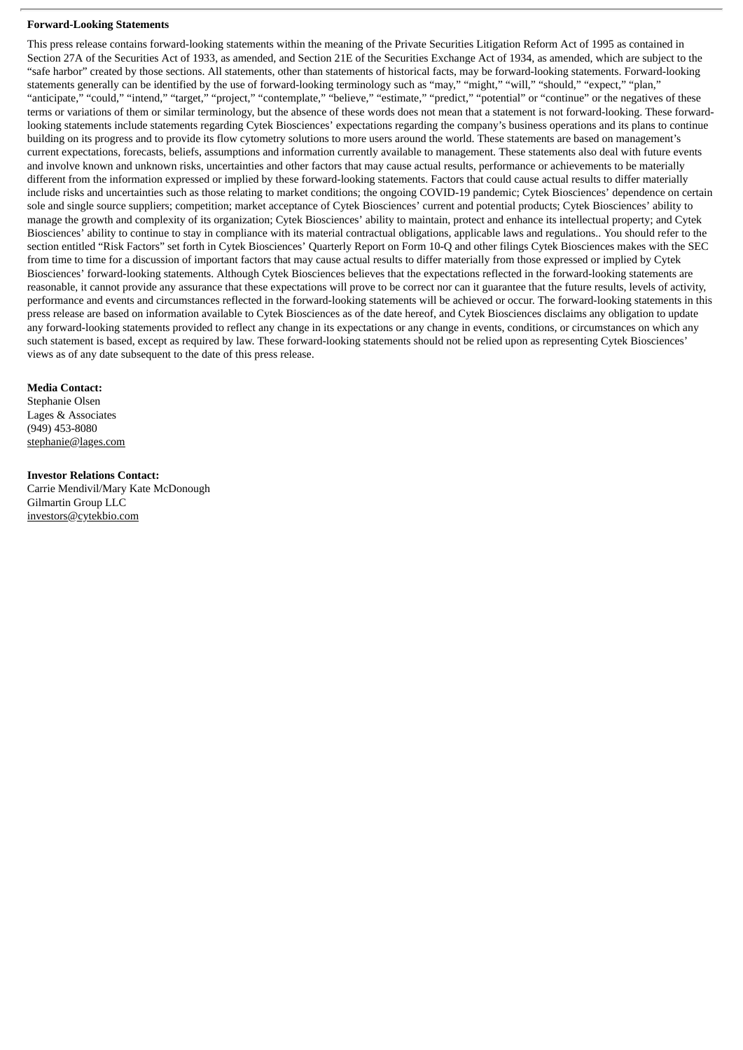#### **Forward-Looking Statements**

This press release contains forward-looking statements within the meaning of the Private Securities Litigation Reform Act of 1995 as contained in Section 27A of the Securities Act of 1933, as amended, and Section 21E of the Securities Exchange Act of 1934, as amended, which are subject to the "safe harbor" created by those sections. All statements, other than statements of historical facts, may be forward-looking statements. Forward-looking statements generally can be identified by the use of forward-looking terminology such as "may," "might," "will," "should," "expect," "plan," "anticipate," "could," "intend," "target," "project," "contemplate," "believe," "estimate," "predict," "potential" or "continue" or the negatives of these terms or variations of them or similar terminology, but the absence of these words does not mean that a statement is not forward-looking. These forwardlooking statements include statements regarding Cytek Biosciences' expectations regarding the company's business operations and its plans to continue building on its progress and to provide its flow cytometry solutions to more users around the world. These statements are based on management's current expectations, forecasts, beliefs, assumptions and information currently available to management. These statements also deal with future events and involve known and unknown risks, uncertainties and other factors that may cause actual results, performance or achievements to be materially different from the information expressed or implied by these forward-looking statements. Factors that could cause actual results to differ materially include risks and uncertainties such as those relating to market conditions; the ongoing COVID-19 pandemic; Cytek Biosciences' dependence on certain sole and single source suppliers; competition; market acceptance of Cytek Biosciences' current and potential products; Cytek Biosciences' ability to manage the growth and complexity of its organization; Cytek Biosciences' ability to maintain, protect and enhance its intellectual property; and Cytek Biosciences' ability to continue to stay in compliance with its material contractual obligations, applicable laws and regulations.. You should refer to the section entitled "Risk Factors" set forth in Cytek Biosciences' Quarterly Report on Form 10-Q and other filings Cytek Biosciences makes with the SEC from time to time for a discussion of important factors that may cause actual results to differ materially from those expressed or implied by Cytek Biosciences' forward-looking statements. Although Cytek Biosciences believes that the expectations reflected in the forward-looking statements are reasonable, it cannot provide any assurance that these expectations will prove to be correct nor can it guarantee that the future results, levels of activity, performance and events and circumstances reflected in the forward-looking statements will be achieved or occur. The forward-looking statements in this press release are based on information available to Cytek Biosciences as of the date hereof, and Cytek Biosciences disclaims any obligation to update any forward-looking statements provided to reflect any change in its expectations or any change in events, conditions, or circumstances on which any such statement is based, except as required by law. These forward-looking statements should not be relied upon as representing Cytek Biosciences' views as of any date subsequent to the date of this press release.

#### **Media Contact:**

Stephanie Olsen Lages & Associates (949) 453-8080 stephanie@lages.com

#### **Investor Relations Contact:**

Carrie Mendivil/Mary Kate McDonough Gilmartin Group LLC investors@cytekbio.com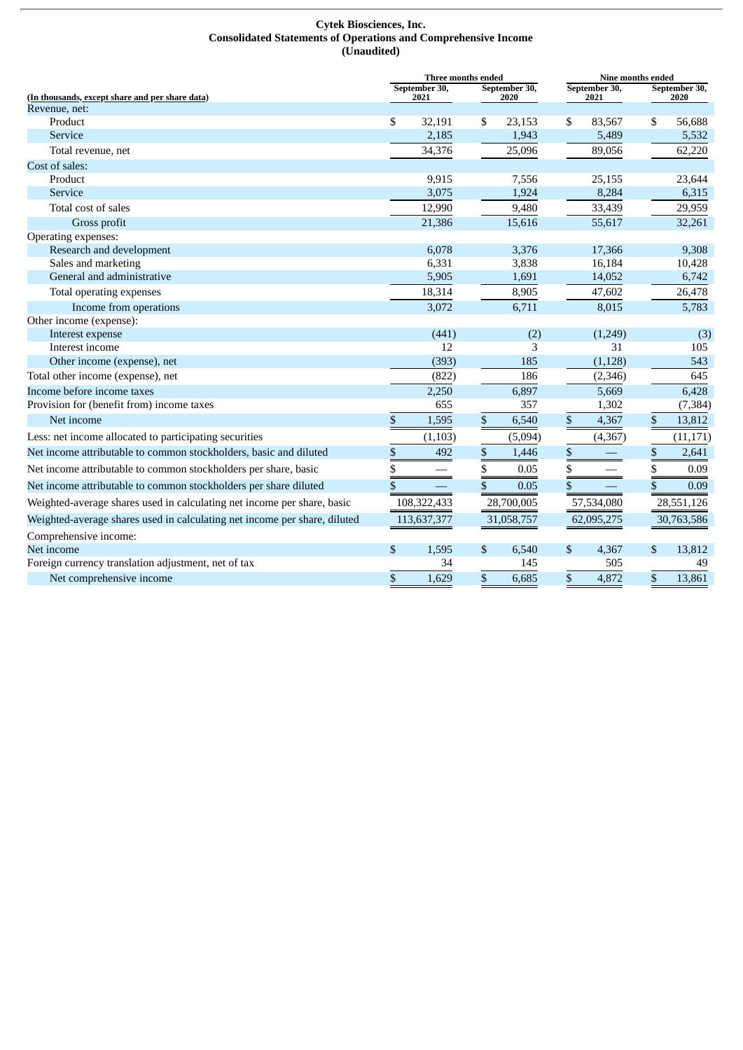#### **Cytek Biosciences, Inc. Consolidated Statements of Operations and Comprehensive Income (Unaudited)**

|                                                                           | <b>Three months ended</b> |             |                       |            | <b>Nine months ended</b> |            |                       |            |
|---------------------------------------------------------------------------|---------------------------|-------------|-----------------------|------------|--------------------------|------------|-----------------------|------------|
| (In thousands, except share and per share data)                           | September 30,<br>2021     |             | September 30,<br>2020 |            | September 30,<br>2021    |            | September 30,<br>2020 |            |
| Revenue, net:                                                             |                           |             |                       |            |                          |            |                       |            |
| Product                                                                   | \$                        | 32,191      | \$                    | 23,153     | \$                       | 83,567     | \$                    | 56,688     |
| Service                                                                   |                           | 2,185       |                       | 1,943      |                          | 5,489      |                       | 5,532      |
| Total revenue, net                                                        |                           | 34,376      |                       | 25,096     |                          | 89,056     |                       | 62,220     |
| Cost of sales:                                                            |                           |             |                       |            |                          |            |                       |            |
| Product                                                                   |                           | 9,915       |                       | 7,556      |                          | 25,155     |                       | 23,644     |
| <b>Service</b>                                                            |                           | 3,075       |                       | 1,924      |                          | 8,284      |                       | 6,315      |
| Total cost of sales                                                       |                           | 12,990      |                       | 9,480      |                          | 33,439     |                       | 29,959     |
| Gross profit                                                              |                           | 21,386      |                       | 15,616     |                          | 55,617     |                       | 32,261     |
| Operating expenses:                                                       |                           |             |                       |            |                          |            |                       |            |
| Research and development                                                  |                           | 6,078       |                       | 3,376      |                          | 17,366     |                       | 9,308      |
| Sales and marketing                                                       |                           | 6,331       |                       | 3,838      |                          | 16,184     |                       | 10,428     |
| General and administrative                                                |                           | 5,905       |                       | 1,691      |                          | 14,052     |                       | 6,742      |
| Total operating expenses                                                  |                           | 18,314      |                       | 8,905      |                          | 47,602     |                       | 26,478     |
| Income from operations                                                    |                           | 3,072       |                       | 6,711      |                          | 8,015      |                       | 5,783      |
| Other income (expense):                                                   |                           |             |                       |            |                          |            |                       |            |
| Interest expense                                                          |                           | (441)       |                       | (2)        |                          | (1,249)    |                       | (3)        |
| Interest income                                                           |                           | 12          |                       | 3          |                          | 31         |                       | 105        |
| Other income (expense), net                                               |                           | (393)       |                       | 185        |                          | (1, 128)   |                       | 543        |
| Total other income (expense), net                                         |                           | (822)       |                       | 186        |                          | (2, 346)   |                       | 645        |
| Income before income taxes                                                |                           | 2,250       |                       | 6,897      |                          | 5,669      |                       | 6,428      |
| Provision for (benefit from) income taxes                                 |                           | 655         |                       | 357        |                          | 1,302      |                       | (7, 384)   |
| Net income                                                                | \$                        | 1,595       | \$                    | 6,540      | \$                       | 4,367      | \$                    | 13,812     |
| Less: net income allocated to participating securities                    |                           | (1, 103)    |                       | (5,094)    |                          | (4, 367)   |                       | (11, 171)  |
| Net income attributable to common stockholders, basic and diluted         | \$                        | 492         | \$                    | 1,446      | \$                       |            | \$                    | 2,641      |
| Net income attributable to common stockholders per share, basic           | \$                        |             | \$                    | 0.05       | \$                       |            | \$                    | 0.09       |
| Net income attributable to common stockholders per share diluted          | \$                        |             | \$                    | 0.05       | \$                       |            | \$                    | 0.09       |
| Weighted-average shares used in calculating net income per share, basic   |                           | 108,322,433 |                       | 28,700,005 |                          | 57,534,080 |                       | 28,551,126 |
| Weighted-average shares used in calculating net income per share, diluted | 113,637,377               |             | 31,058,757            |            | 62,095,275               |            | 30,763,586            |            |
| Comprehensive income:                                                     |                           |             |                       |            |                          |            |                       |            |
| Net income                                                                | $\mathbb{S}$              | 1,595       | \$                    | 6,540      | \$                       | 4,367      | \$                    | 13,812     |
| Foreign currency translation adjustment, net of tax                       |                           | 34          |                       | 145        |                          | 505        |                       | 49         |
| Net comprehensive income                                                  | $\mathbb{S}$              | 1,629       | \$                    | 6,685      | \$                       | 4,872      | \$                    | 13,861     |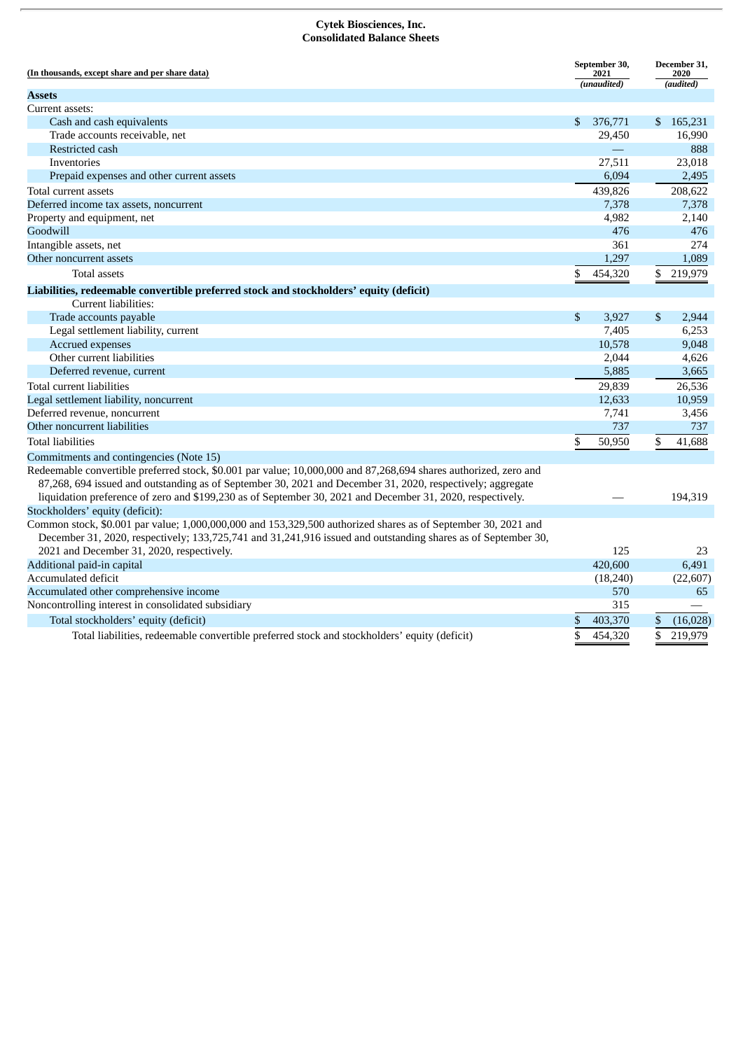#### **Cytek Biosciences, Inc. Consolidated Balance Sheets**

| (In thousands, except share and per share data)                                                                  |    | September 30,<br>2021 |              | December 31,<br>2020 |  |
|------------------------------------------------------------------------------------------------------------------|----|-----------------------|--------------|----------------------|--|
| <b>Assets</b>                                                                                                    |    | (unaudited)           |              | (audited)            |  |
| Current assets:                                                                                                  |    |                       |              |                      |  |
| Cash and cash equivalents                                                                                        | \$ | 376,771               |              | \$165,231            |  |
| Trade accounts receivable, net                                                                                   |    | 29,450                |              | 16,990               |  |
| Restricted cash                                                                                                  |    |                       |              | 888                  |  |
| Inventories                                                                                                      |    | 27,511                |              | 23,018               |  |
| Prepaid expenses and other current assets                                                                        |    | 6,094                 |              | 2.495                |  |
| Total current assets                                                                                             |    | 439.826               |              | 208,622              |  |
| Deferred income tax assets, noncurrent                                                                           |    | 7,378                 |              | 7,378                |  |
| Property and equipment, net                                                                                      |    | 4,982                 |              | 2,140                |  |
| Goodwill                                                                                                         |    | 476                   |              | 476                  |  |
| Intangible assets, net                                                                                           |    | 361                   |              | 274                  |  |
| Other noncurrent assets                                                                                          |    | 1,297                 |              | 1,089                |  |
| <b>Total assets</b>                                                                                              | \$ | 454,320               | \$           | 219,979              |  |
| Liabilities, redeemable convertible preferred stock and stockholders' equity (deficit)                           |    |                       |              |                      |  |
| Current liabilities:                                                                                             |    |                       |              |                      |  |
| Trade accounts payable                                                                                           | \$ | 3,927                 | $\mathbb{S}$ | 2,944                |  |
| Legal settlement liability, current                                                                              |    | 7,405                 |              | 6,253                |  |
| Accrued expenses                                                                                                 |    | 10,578                |              | 9,048                |  |
| Other current liabilities                                                                                        |    | 2,044                 |              | 4,626                |  |
| Deferred revenue, current                                                                                        |    | 5,885                 |              | 3,665                |  |
| Total current liabilities                                                                                        |    | 29,839                |              | 26,536               |  |
| Legal settlement liability, noncurrent                                                                           |    | 12,633                |              | 10,959               |  |
| Deferred revenue, noncurrent                                                                                     |    | 7,741                 |              | 3,456                |  |
| Other noncurrent liabilities                                                                                     |    | 737                   |              | 737                  |  |
| <b>Total liabilities</b>                                                                                         | \$ | 50,950                | \$           | 41,688               |  |
| Commitments and contingencies (Note 15)                                                                          |    |                       |              |                      |  |
| Redeemable convertible preferred stock, \$0.001 par value; 10,000,000 and 87,268,694 shares authorized, zero and |    |                       |              |                      |  |
| 87,268, 694 issued and outstanding as of September 30, 2021 and December 31, 2020, respectively; aggregate       |    |                       |              |                      |  |
| liquidation preference of zero and \$199,230 as of September 30, 2021 and December 31, 2020, respectively.       |    |                       |              | 194,319              |  |
| Stockholders' equity (deficit):                                                                                  |    |                       |              |                      |  |
| Common stock, \$0.001 par value; 1,000,000,000 and 153,329,500 authorized shares as of September 30, 2021 and    |    |                       |              |                      |  |
| December 31, 2020, respectively; 133,725,741 and 31,241,916 issued and outstanding shares as of September 30,    |    |                       |              |                      |  |
| 2021 and December 31, 2020, respectively.                                                                        |    | 125                   |              | 23                   |  |
| Additional paid-in capital                                                                                       |    | 420,600               |              | 6,491                |  |
| Accumulated deficit                                                                                              |    | (18, 240)             |              | (22, 607)            |  |
| Accumulated other comprehensive income                                                                           |    | 570                   |              | 65                   |  |
| Noncontrolling interest in consolidated subsidiary                                                               |    | 315                   |              |                      |  |
| Total stockholders' equity (deficit)                                                                             | \$ | 403,370               | \$           | (16,028)             |  |
| Total liabilities, redeemable convertible preferred stock and stockholders' equity (deficit)                     | \$ | 454,320               | \$           | 219,979              |  |